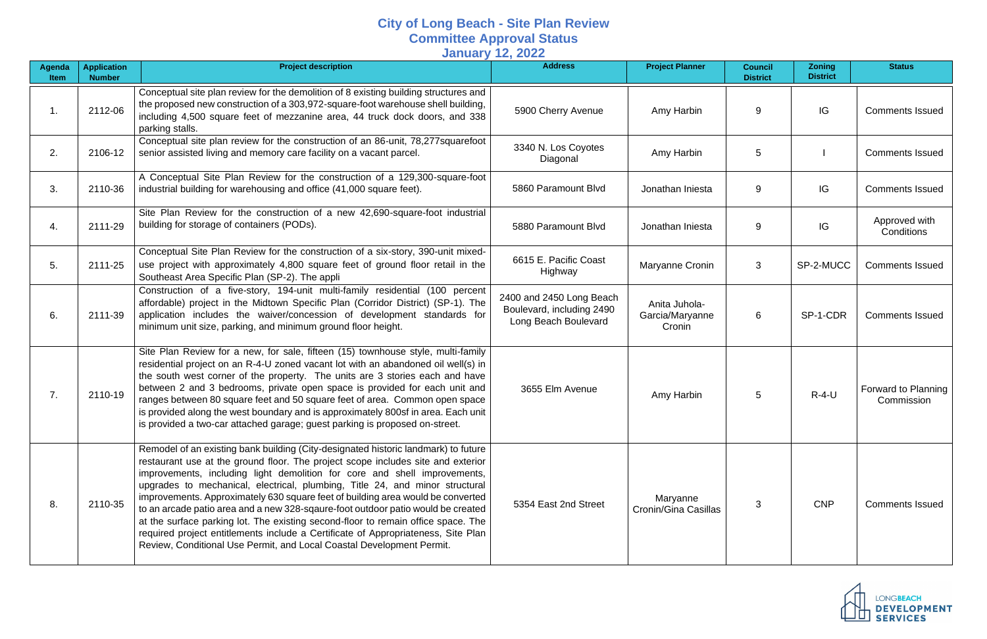## **City of Long Beach - Site Plan Review Committee Approval Status January 12, 2022**

| Agenda<br>Item | <b>Application</b><br><b>Number</b> | <b>Project description</b>                                                                                                                                                                                                                                                                                                                                                                                                                                                                                                                                                                                                                                                                                                                                    | <b>Address</b>                                                                | <b>Project Planner</b>                     | <b>Council</b><br><b>District</b> | <b>Zoning</b><br><b>District</b> | <b>Status</b>                     |
|----------------|-------------------------------------|---------------------------------------------------------------------------------------------------------------------------------------------------------------------------------------------------------------------------------------------------------------------------------------------------------------------------------------------------------------------------------------------------------------------------------------------------------------------------------------------------------------------------------------------------------------------------------------------------------------------------------------------------------------------------------------------------------------------------------------------------------------|-------------------------------------------------------------------------------|--------------------------------------------|-----------------------------------|----------------------------------|-----------------------------------|
|                | 2112-06                             | Conceptual site plan review for the demolition of 8 existing building structures and<br>the proposed new construction of a 303,972-square-foot warehouse shell building,<br>including 4,500 square feet of mezzanine area, 44 truck dock doors, and 338<br>parking stalls.                                                                                                                                                                                                                                                                                                                                                                                                                                                                                    | 5900 Cherry Avenue                                                            | Amy Harbin                                 | 9                                 | IG                               | <b>Comments Issued</b>            |
| 2.             | 2106-12                             | Conceptual site plan review for the construction of an 86-unit, 78,277 squarefoot<br>senior assisted living and memory care facility on a vacant parcel.                                                                                                                                                                                                                                                                                                                                                                                                                                                                                                                                                                                                      | 3340 N. Los Coyotes<br>Diagonal                                               | Amy Harbin                                 | 5                                 |                                  | <b>Comments Issued</b>            |
| 3.             | 2110-36                             | A Conceptual Site Plan Review for the construction of a 129,300-square-foot<br>industrial building for warehousing and office (41,000 square feet).                                                                                                                                                                                                                                                                                                                                                                                                                                                                                                                                                                                                           | 5860 Paramount Blvd                                                           | Jonathan Iniesta                           | 9                                 | IG                               | <b>Comments Issued</b>            |
| 4.             | 2111-29                             | Site Plan Review for the construction of a new 42,690-square-foot industrial<br>building for storage of containers (PODs).                                                                                                                                                                                                                                                                                                                                                                                                                                                                                                                                                                                                                                    | 5880 Paramount Blvd                                                           | Jonathan Iniesta                           | 9                                 | IG                               | Approved with<br>Conditions       |
| 5.             | 2111-25                             | Conceptual Site Plan Review for the construction of a six-story, 390-unit mixed-<br>use project with approximately 4,800 square feet of ground floor retail in the<br>Southeast Area Specific Plan (SP-2). The appli                                                                                                                                                                                                                                                                                                                                                                                                                                                                                                                                          | 6615 E. Pacific Coast<br>Highway                                              | Maryanne Cronin                            | 3                                 | SP-2-MUCC                        | <b>Comments Issued</b>            |
| 6.             | 2111-39                             | Construction of a five-story, 194-unit multi-family residential (100 percent<br>affordable) project in the Midtown Specific Plan (Corridor District) (SP-1). The<br>application includes the waiver/concession of development standards for<br>minimum unit size, parking, and minimum ground floor height.                                                                                                                                                                                                                                                                                                                                                                                                                                                   | 2400 and 2450 Long Beach<br>Boulevard, including 2490<br>Long Beach Boulevard | Anita Juhola-<br>Garcia/Maryanne<br>Cronin | 6                                 | SP-1-CDR                         | <b>Comments Issued</b>            |
| 7.             | 2110-19                             | Site Plan Review for a new, for sale, fifteen (15) townhouse style, multi-family<br>residential project on an R-4-U zoned vacant lot with an abandoned oil well(s) in<br>the south west corner of the property. The units are 3 stories each and have<br>between 2 and 3 bedrooms, private open space is provided for each unit and<br>ranges between 80 square feet and 50 square feet of area. Common open space<br>is provided along the west boundary and is approximately 800sf in area. Each unit<br>is provided a two-car attached garage; guest parking is proposed on-street.                                                                                                                                                                        | 3655 Elm Avenue                                                               | Amy Harbin                                 | 5                                 | $R-4-U$                          | Forward to Planning<br>Commission |
| 8.             | 2110-35                             | Remodel of an existing bank building (City-designated historic landmark) to future<br>restaurant use at the ground floor. The project scope includes site and exterior<br>improvements, including light demolition for core and shell improvements,<br>upgrades to mechanical, electrical, plumbing, Title 24, and minor structural<br>improvements. Approximately 630 square feet of building area would be converted<br>to an arcade patio area and a new 328-sqaure-foot outdoor patio would be created<br>at the surface parking lot. The existing second-floor to remain office space. The<br>required project entitlements include a Certificate of Appropriateness, Site Plan<br>Review, Conditional Use Permit, and Local Coastal Development Permit. | 5354 East 2nd Street                                                          | Maryanne<br>Cronin/Gina Casillas           | 3                                 | <b>CNP</b>                       | <b>Comments Issued</b>            |

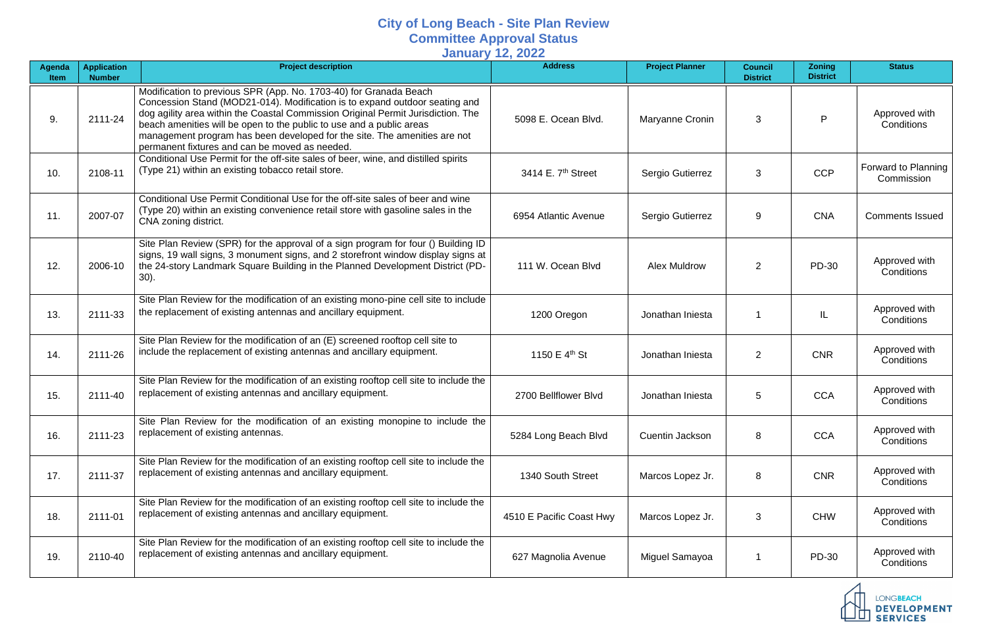## **City of Long Beach - Site Plan Review Committee Approval Status**

**January 12, 2022**

| Agenda<br><b>Item</b> | <b>Application</b><br><b>Number</b> | <b>Project description</b>                                                                                                                                                                                                                                                                                                                                                                                                                  | $\mathbf{y} = \mathbf{y} = \mathbf{y}$<br><b>Address</b> | <b>Project Planner</b> | <b>Council</b><br><b>District</b> | <b>Zoning</b><br><b>District</b> | <b>Status</b>                                             |
|-----------------------|-------------------------------------|---------------------------------------------------------------------------------------------------------------------------------------------------------------------------------------------------------------------------------------------------------------------------------------------------------------------------------------------------------------------------------------------------------------------------------------------|----------------------------------------------------------|------------------------|-----------------------------------|----------------------------------|-----------------------------------------------------------|
| 9.                    | 2111-24                             | Modification to previous SPR (App. No. 1703-40) for Granada Beach<br>Concession Stand (MOD21-014). Modification is to expand outdoor seating and<br>dog agility area within the Coastal Commission Original Permit Jurisdiction. The<br>beach amenities will be open to the public to use and a public areas<br>management program has been developed for the site. The amenities are not<br>permanent fixtures and can be moved as needed. | 5098 E. Ocean Blvd.                                      | Maryanne Cronin        | 3                                 | P                                | Approved with<br>Conditions                               |
| 10.                   | 2108-11                             | Conditional Use Permit for the off-site sales of beer, wine, and distilled spirits<br>(Type 21) within an existing tobacco retail store.                                                                                                                                                                                                                                                                                                    | 3414 E. 7 <sup>th</sup> Street                           | Sergio Gutierrez       | 3                                 | <b>CCP</b>                       | Forward to Planning<br>Commission                         |
| 11.                   | 2007-07                             | Conditional Use Permit Conditional Use for the off-site sales of beer and wine<br>(Type 20) within an existing convenience retail store with gasoline sales in the<br>CNA zoning district.                                                                                                                                                                                                                                                  | 6954 Atlantic Avenue                                     | Sergio Gutierrez       | 9                                 | <b>CNA</b>                       | <b>Comments Issued</b>                                    |
| 12.                   | 2006-10                             | Site Plan Review (SPR) for the approval of a sign program for four () Building ID<br>signs, 19 wall signs, 3 monument signs, and 2 storefront window display signs at<br>the 24-story Landmark Square Building in the Planned Development District (PD-<br>$30$ ).                                                                                                                                                                          | 111 W. Ocean Blvd                                        | <b>Alex Muldrow</b>    | $\overline{2}$                    | PD-30                            | Approved with<br>Conditions                               |
| 13.                   | 2111-33                             | Site Plan Review for the modification of an existing mono-pine cell site to include<br>the replacement of existing antennas and ancillary equipment.                                                                                                                                                                                                                                                                                        | 1200 Oregon                                              | Jonathan Iniesta       |                                   | IL                               | Approved with<br>Conditions                               |
| 14.                   | 2111-26                             | Site Plan Review for the modification of an (E) screened rooftop cell site to<br>include the replacement of existing antennas and ancillary equipment.                                                                                                                                                                                                                                                                                      | 1150 E 4 <sup>th</sup> St                                | Jonathan Iniesta       | 2                                 | <b>CNR</b>                       | Approved with<br>Conditions                               |
| 15.                   | 2111-40                             | Site Plan Review for the modification of an existing rooftop cell site to include the<br>replacement of existing antennas and ancillary equipment.                                                                                                                                                                                                                                                                                          | 2700 Bellflower Blvd                                     | Jonathan Iniesta       | 5                                 | <b>CCA</b>                       | Approved with<br>Conditions                               |
| 16.                   | 2111-23                             | Site Plan Review for the modification of an existing monopine to include the<br>replacement of existing antennas.                                                                                                                                                                                                                                                                                                                           | 5284 Long Beach Blvd                                     | Cuentin Jackson        | 8                                 | <b>CCA</b>                       | Approved with<br>Conditions                               |
| 17.                   | 2111-37                             | Site Plan Review for the modification of an existing rooftop cell site to include the<br>replacement of existing antennas and ancillary equipment.                                                                                                                                                                                                                                                                                          | 1340 South Street                                        | Marcos Lopez Jr.       | 8                                 | <b>CNR</b>                       | Approved with<br>Conditions                               |
| 18.                   | 2111-01                             | Site Plan Review for the modification of an existing rooftop cell site to include the<br>replacement of existing antennas and ancillary equipment.                                                                                                                                                                                                                                                                                          | 4510 E Pacific Coast Hwy                                 | Marcos Lopez Jr.       | 3                                 | <b>CHW</b>                       | Approved with<br>Conditions                               |
| 19.                   | 2110-40                             | Site Plan Review for the modification of an existing rooftop cell site to include the<br>replacement of existing antennas and ancillary equipment.                                                                                                                                                                                                                                                                                          | 627 Magnolia Avenue                                      | Miguel Samayoa         |                                   | PD-30                            | Approved with<br>Conditions                               |
|                       |                                     |                                                                                                                                                                                                                                                                                                                                                                                                                                             |                                                          |                        |                                   |                                  | <b>LONGBEACH</b><br><b>DEVELOPMENT</b><br><b>SERVICES</b> |